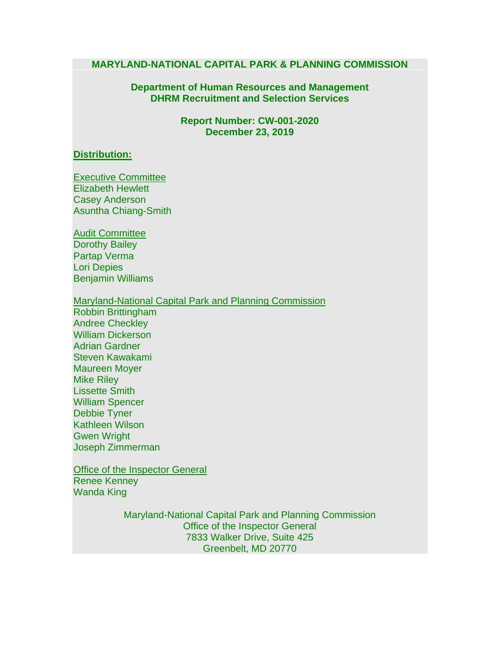## **MARYLAND-NATIONAL CAPITAL PARK & PLANNING COMMISSION**

#### **Department of Human Resources and Management DHRM Recruitment and Selection Services**

**Report Number: CW-001-2020 December 23, 2019**

#### **Distribution:**

Executive Committee Elizabeth Hewlett Casey Anderson Asuntha Chiang-Smith

Audit Committee Dorothy Bailey Partap Verma Lori Depies Benjamin Williams

Maryland-National Capital Park and Planning Commission

Robbin Brittingham Andree Checkley William Dickerson Adrian Gardner Steven Kawakami Maureen Moyer Mike Riley Lissette Smith William Spencer Debbie Tyner Kathleen Wilson Gwen Wright Joseph Zimmerman

Office of the Inspector General Renee Kenney Wanda King

> Maryland-National Capital Park and Planning Commission Office of the Inspector General 7833 Walker Drive, Suite 425 Greenbelt, MD 20770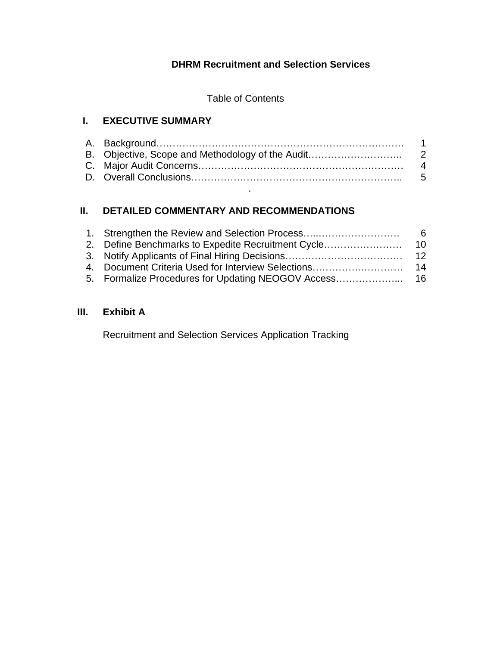# **DHRM Recruitment and Selection Services**

Table of Contents

# **I. EXECUTIVE SUMMARY**

.

# **II. DETAILED COMMENTARY AND RECOMMENDATIONS**

| 1. Strengthen the Review and Selection Process | - 6 |
|------------------------------------------------|-----|
|                                                |     |
|                                                |     |
|                                                |     |
|                                                |     |

# **III. Exhibit A**

Recruitment and Selection Services Application Tracking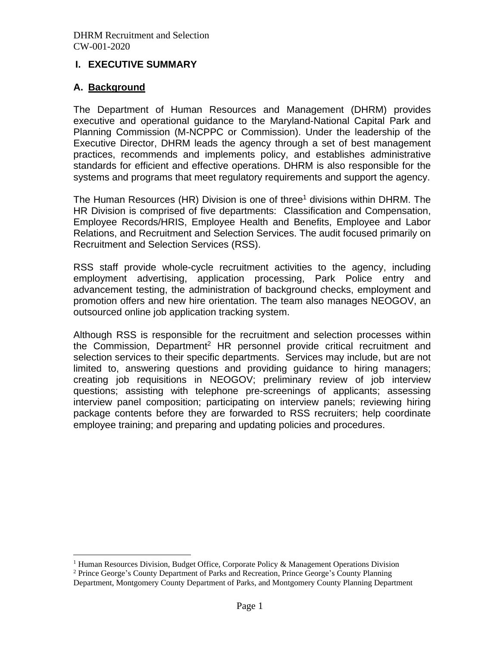# **I. EXECUTIVE SUMMARY**

# **A. Background**

The Department of Human Resources and Management (DHRM) provides executive and operational guidance to the Maryland-National Capital Park and Planning Commission (M-NCPPC or Commission). Under the leadership of the Executive Director, DHRM leads the agency through a set of best management practices, recommends and implements policy, and establishes administrative standards for efficient and effective operations. DHRM is also responsible for the systems and programs that meet regulatory requirements and support the agency.

The Human Resources (HR) Division is one of three<sup>1</sup> divisions within DHRM. The HR Division is comprised of five departments: Classification and Compensation, Employee Records/HRIS, Employee Health and Benefits, Employee and Labor Relations, and Recruitment and Selection Services. The audit focused primarily on Recruitment and Selection Services (RSS).

RSS staff provide whole-cycle recruitment activities to the agency, including employment advertising, application processing, Park Police entry and advancement testing, the administration of background checks, employment and promotion offers and new hire orientation. The team also manages NEOGOV, an outsourced online job application tracking system.

Although RSS is responsible for the recruitment and selection processes within the Commission, Department<sup>2</sup> HR personnel provide critical recruitment and selection services to their specific departments. Services may include, but are not limited to, answering questions and providing guidance to hiring managers; creating job requisitions in NEOGOV; preliminary review of job interview questions; assisting with telephone pre-screenings of applicants; assessing interview panel composition; participating on interview panels; reviewing hiring package contents before they are forwarded to RSS recruiters; help coordinate employee training; and preparing and updating policies and procedures.

<sup>&</sup>lt;sup>1</sup> Human Resources Division, Budget Office, Corporate Policy & Management Operations Division

<sup>&</sup>lt;sup>2</sup> Prince George's County Department of Parks and Recreation, Prince George's County Planning Department, Montgomery County Department of Parks, and Montgomery County Planning Department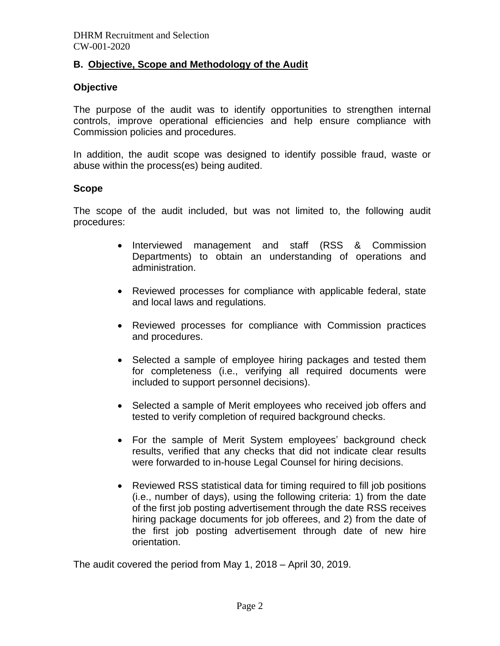# **B. Objective, Scope and Methodology of the Audit**

# **Objective**

The purpose of the audit was to identify opportunities to strengthen internal controls, improve operational efficiencies and help ensure compliance with Commission policies and procedures.

In addition, the audit scope was designed to identify possible fraud, waste or abuse within the process(es) being audited.

## **Scope**

The scope of the audit included, but was not limited to, the following audit procedures:

- Interviewed management and staff (RSS & Commission Departments) to obtain an understanding of operations and administration.
- Reviewed processes for compliance with applicable federal, state and local laws and regulations.
- Reviewed processes for compliance with Commission practices and procedures.
- Selected a sample of employee hiring packages and tested them for completeness (i.e., verifying all required documents were included to support personnel decisions).
- Selected a sample of Merit employees who received job offers and tested to verify completion of required background checks.
- For the sample of Merit System employees' background check results, verified that any checks that did not indicate clear results were forwarded to in-house Legal Counsel for hiring decisions.
- Reviewed RSS statistical data for timing required to fill job positions (i.e., number of days), using the following criteria: 1) from the date of the first job posting advertisement through the date RSS receives hiring package documents for job offerees, and 2) from the date of the first job posting advertisement through date of new hire orientation.

The audit covered the period from May 1, 2018 – April 30, 2019.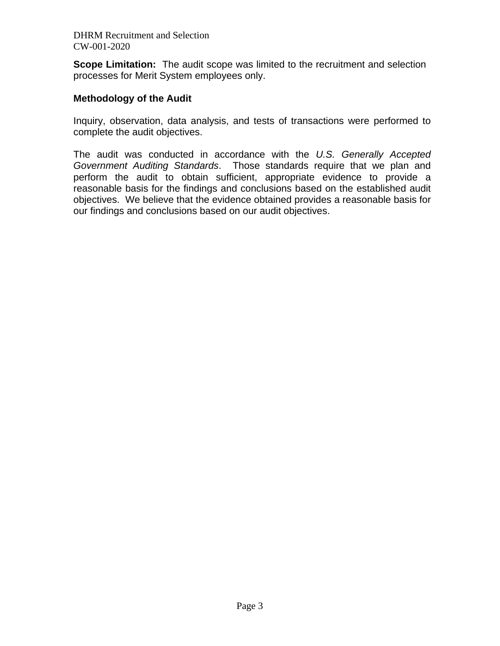**Scope Limitation:** The audit scope was limited to the recruitment and selection processes for Merit System employees only.

# **Methodology of the Audit**

Inquiry, observation, data analysis, and tests of transactions were performed to complete the audit objectives.

The audit was conducted in accordance with the *U.S. Generally Accepted Government Auditing Standards*. Those standards require that we plan and perform the audit to obtain sufficient, appropriate evidence to provide a reasonable basis for the findings and conclusions based on the established audit objectives. We believe that the evidence obtained provides a reasonable basis for our findings and conclusions based on our audit objectives.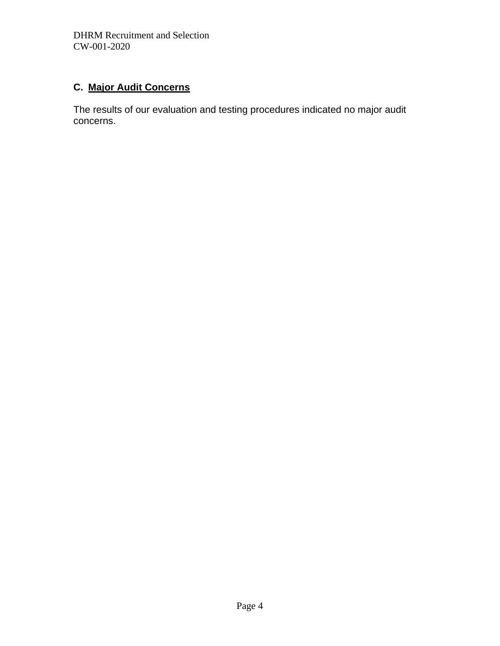# **C. Major Audit Concerns**

The results of our evaluation and testing procedures indicated no major audit concerns.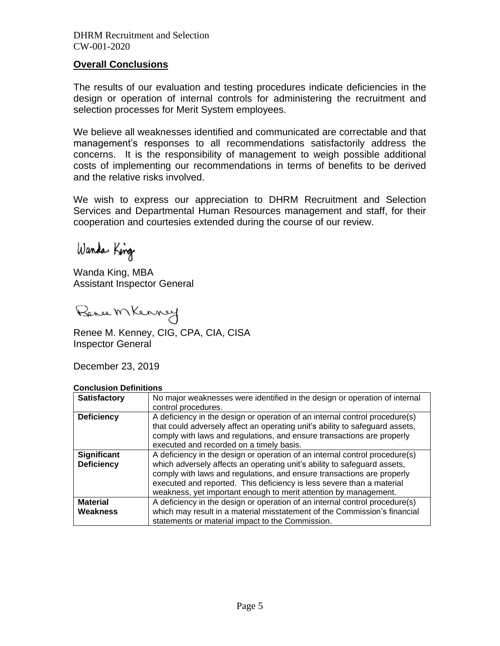## **Overall Conclusions**

The results of our evaluation and testing procedures indicate deficiencies in the design or operation of internal controls for administering the recruitment and selection processes for Merit System employees.

We believe all weaknesses identified and communicated are correctable and that management's responses to all recommendations satisfactorily address the concerns. It is the responsibility of management to weigh possible additional costs of implementing our recommendations in terms of benefits to be derived and the relative risks involved.

We wish to express our appreciation to DHRM Recruitment and Selection Services and Departmental Human Resources management and staff, for their cooperation and courtesies extended during the course of our review.

Wanda King

Wanda King, MBA Assistant Inspector General

Bence Mkenney

Renee M. Kenney, CIG, CPA, CIA, CISA Inspector General

December 23, 2019

#### **Conclusion Definitions**

| <b>Satisfactory</b> | No major weaknesses were identified in the design or operation of internal<br>control procedures.                                                                                                                                                                                 |
|---------------------|-----------------------------------------------------------------------------------------------------------------------------------------------------------------------------------------------------------------------------------------------------------------------------------|
| <b>Deficiency</b>   | A deficiency in the design or operation of an internal control procedure(s)<br>that could adversely affect an operating unit's ability to safeguard assets,<br>comply with laws and regulations, and ensure transactions are properly<br>executed and recorded on a timely basis. |
| <b>Significant</b>  | A deficiency in the design or operation of an internal control procedure(s)                                                                                                                                                                                                       |
| <b>Deficiency</b>   | which adversely affects an operating unit's ability to safeguard assets,                                                                                                                                                                                                          |
|                     | comply with laws and regulations, and ensure transactions are properly                                                                                                                                                                                                            |
|                     | executed and reported. This deficiency is less severe than a material                                                                                                                                                                                                             |
|                     | weakness, yet important enough to merit attention by management.                                                                                                                                                                                                                  |
| <b>Material</b>     | A deficiency in the design or operation of an internal control procedure(s)                                                                                                                                                                                                       |
| <b>Weakness</b>     | which may result in a material misstatement of the Commission's financial                                                                                                                                                                                                         |
|                     | statements or material impact to the Commission.                                                                                                                                                                                                                                  |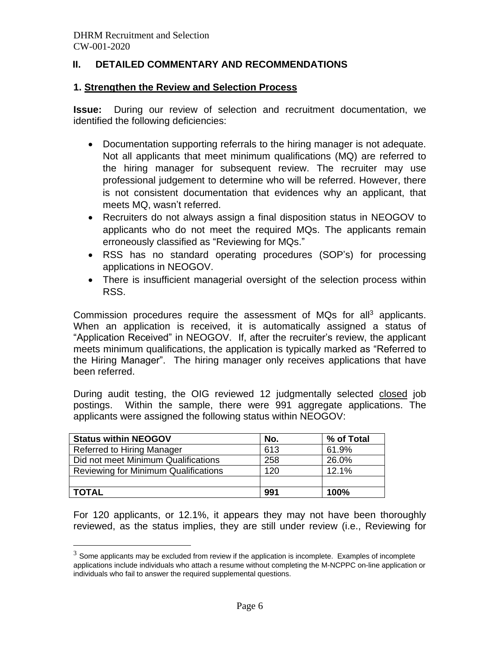# **II. DETAILED COMMENTARY AND RECOMMENDATIONS**

## **1. Strengthen the Review and Selection Process**

**Issue:** During our review of selection and recruitment documentation, we identified the following deficiencies:

- Documentation supporting referrals to the hiring manager is not adequate. Not all applicants that meet minimum qualifications (MQ) are referred to the hiring manager for subsequent review. The recruiter may use professional judgement to determine who will be referred. However, there is not consistent documentation that evidences why an applicant, that meets MQ, wasn't referred.
- Recruiters do not always assign a final disposition status in NEOGOV to applicants who do not meet the required MQs. The applicants remain erroneously classified as "Reviewing for MQs."
- RSS has no standard operating procedures (SOP's) for processing applications in NEOGOV.
- There is insufficient managerial oversight of the selection process within RSS.

Commission procedures require the assessment of MQs for all<sup>3</sup> applicants. When an application is received, it is automatically assigned a status of "Application Received" in NEOGOV. If, after the recruiter's review, the applicant meets minimum qualifications, the application is typically marked as "Referred to the Hiring Manager". The hiring manager only receives applications that have been referred.

During audit testing, the OIG reviewed 12 judgmentally selected closed job postings. Within the sample, there were 991 aggregate applications. The applicants were assigned the following status within NEOGOV:

| <b>Status within NEOGOV</b>                 | No. | % of Total |
|---------------------------------------------|-----|------------|
| Referred to Hiring Manager                  | 613 | 61.9%      |
| Did not meet Minimum Qualifications         | 258 | 26.0%      |
| <b>Reviewing for Minimum Qualifications</b> | 120 | 12.1%      |
|                                             |     |            |
| <b>TOTAL</b>                                | 991 | 100%       |

For 120 applicants, or 12.1%, it appears they may not have been thoroughly reviewed, as the status implies, they are still under review (i.e., Reviewing for

 $3$  Some applicants may be excluded from review if the application is incomplete. Examples of incomplete applications include individuals who attach a resume without completing the M-NCPPC on-line application or individuals who fail to answer the required supplemental questions.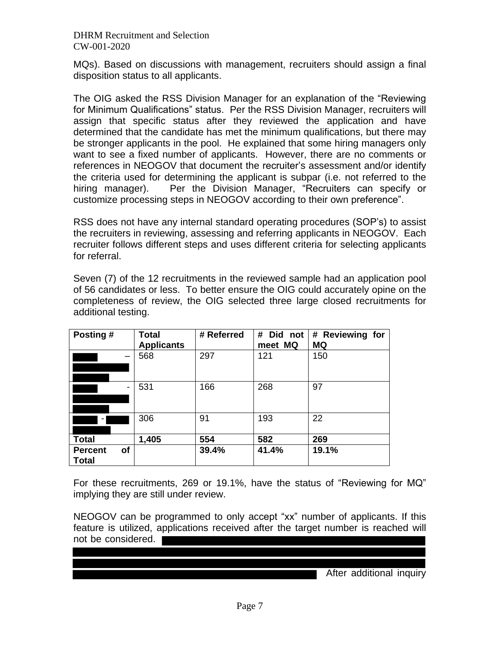MQs). Based on discussions with management, recruiters should assign a final disposition status to all applicants.

The OIG asked the RSS Division Manager for an explanation of the "Reviewing for Minimum Qualifications" status. Per the RSS Division Manager, recruiters will assign that specific status after they reviewed the application and have determined that the candidate has met the minimum qualifications, but there may be stronger applicants in the pool. He explained that some hiring managers only want to see a fixed number of applicants. However, there are no comments or references in NEOGOV that document the recruiter's assessment and/or identify the criteria used for determining the applicant is subpar (i.e. not referred to the hiring manager). Per the Division Manager, "Recruiters can specify or customize processing steps in NEOGOV according to their own preference".

RSS does not have any internal standard operating procedures (SOP's) to assist the recruiters in reviewing, assessing and referring applicants in NEOGOV. Each recruiter follows different steps and uses different criteria for selecting applicants for referral.

Seven (7) of the 12 recruitments in the reviewed sample had an application pool of 56 candidates or less. To better ensure the OIG could accurately opine on the completeness of review, the OIG selected three large closed recruitments for additional testing.

| Posting #                                   | <b>Total</b><br><b>Applicants</b> | # Referred | # Did not<br>meet MQ | # Reviewing for<br>MQ |
|---------------------------------------------|-----------------------------------|------------|----------------------|-----------------------|
|                                             | 568                               | 297        | 121                  | 150                   |
| $\overline{\phantom{0}}$                    | 531                               | 166        | 268                  | 97                    |
|                                             | 306                               | 91         | 193                  | 22                    |
| <b>Total</b>                                | 1,405                             | 554        | 582                  | 269                   |
| <b>of</b><br><b>Percent</b><br><b>Total</b> |                                   | 39.4%      | 41.4%                | 19.1%                 |

For these recruitments, 269 or 19.1%, have the status of "Reviewing for MQ" implying they are still under review.

NEOGOV can be programmed to only accept "xx" number of applicants. If this feature is utilized, applications received after the target number is reached will not be considered.

After additional inquiry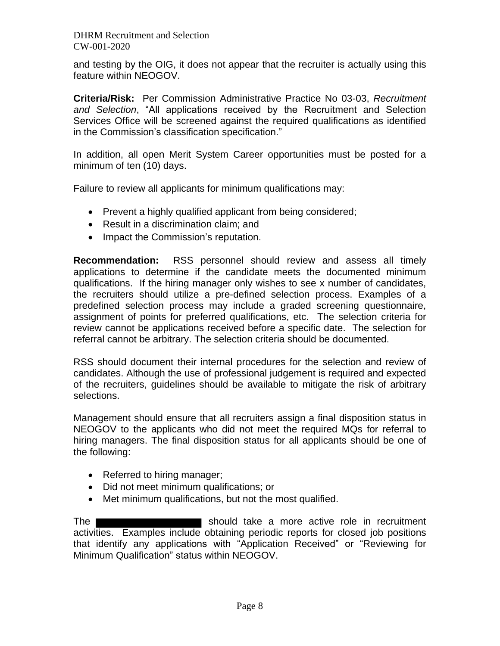and testing by the OIG, it does not appear that the recruiter is actually using this feature within NEOGOV.

**Criteria/Risk:** Per Commission Administrative Practice No 03-03, *Recruitment and Selection*, "All applications received by the Recruitment and Selection Services Office will be screened against the required qualifications as identified in the Commission's classification specification."

In addition, all open Merit System Career opportunities must be posted for a minimum of ten (10) days.

Failure to review all applicants for minimum qualifications may:

- Prevent a highly qualified applicant from being considered;
- Result in a discrimination claim; and
- Impact the Commission's reputation.

**Recommendation:** RSS personnel should review and assess all timely applications to determine if the candidate meets the documented minimum qualifications. If the hiring manager only wishes to see x number of candidates, the recruiters should utilize a pre-defined selection process. Examples of a predefined selection process may include a graded screening questionnaire, assignment of points for preferred qualifications, etc. The selection criteria for review cannot be applications received before a specific date. The selection for referral cannot be arbitrary. The selection criteria should be documented.

RSS should document their internal procedures for the selection and review of candidates. Although the use of professional judgement is required and expected of the recruiters, guidelines should be available to mitigate the risk of arbitrary selections.

Management should ensure that all recruiters assign a final disposition status in NEOGOV to the applicants who did not meet the required MQs for referral to hiring managers. The final disposition status for all applicants should be one of the following:

- Referred to hiring manager;
- Did not meet minimum qualifications; or
- Met minimum qualifications, but not the most qualified.

The should take a more active role in recruitment activities. Examples include obtaining periodic reports for closed job positions that identify any applications with "Application Received" or "Reviewing for Minimum Qualification" status within NEOGOV.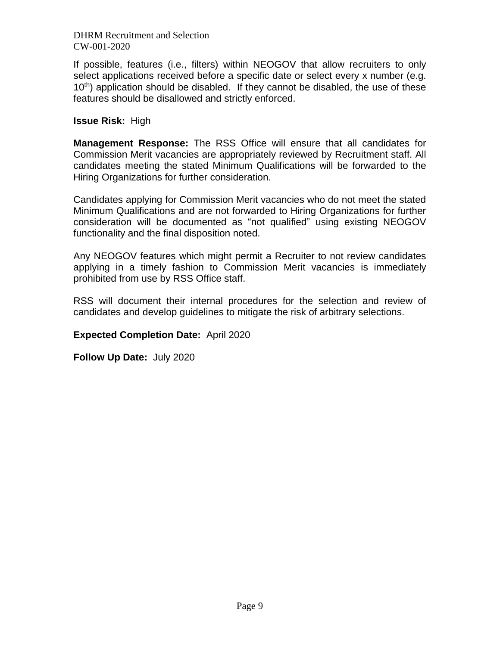If possible, features (i.e., filters) within NEOGOV that allow recruiters to only select applications received before a specific date or select every x number (e.g.  $10<sup>th</sup>$ ) application should be disabled. If they cannot be disabled, the use of these features should be disallowed and strictly enforced.

### **Issue Risk:** High

**Management Response:** The RSS Office will ensure that all candidates for Commission Merit vacancies are appropriately reviewed by Recruitment staff. All candidates meeting the stated Minimum Qualifications will be forwarded to the Hiring Organizations for further consideration.

Candidates applying for Commission Merit vacancies who do not meet the stated Minimum Qualifications and are not forwarded to Hiring Organizations for further consideration will be documented as "not qualified" using existing NEOGOV functionality and the final disposition noted.

Any NEOGOV features which might permit a Recruiter to not review candidates applying in a timely fashion to Commission Merit vacancies is immediately prohibited from use by RSS Office staff.

RSS will document their internal procedures for the selection and review of candidates and develop guidelines to mitigate the risk of arbitrary selections.

## **Expected Completion Date:** April 2020

**Follow Up Date:** July 2020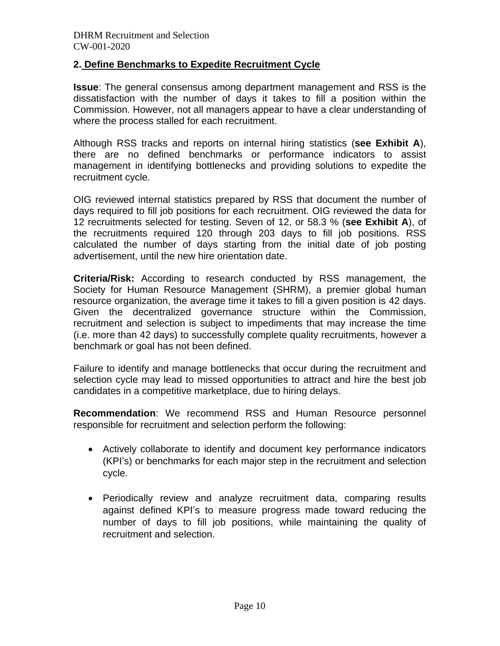# **2. Define Benchmarks to Expedite Recruitment Cycle**

**Issue**: The general consensus among department management and RSS is the dissatisfaction with the number of days it takes to fill a position within the Commission. However, not all managers appear to have a clear understanding of where the process stalled for each recruitment.

Although RSS tracks and reports on internal hiring statistics (**see Exhibit A**), there are no defined benchmarks or performance indicators to assist management in identifying bottlenecks and providing solutions to expedite the recruitment cycle.

OIG reviewed internal statistics prepared by RSS that document the number of days required to fill job positions for each recruitment. OIG reviewed the data for 12 recruitments selected for testing. Seven of 12, or 58.3 % (**see Exhibit A**), of the recruitments required 120 through 203 days to fill job positions. RSS calculated the number of days starting from the initial date of job posting advertisement, until the new hire orientation date.

**Criteria/Risk:** According to research conducted by RSS management, the Society for Human Resource Management (SHRM), a premier global human resource organization, the average time it takes to fill a given position is 42 days. Given the decentralized governance structure within the Commission, recruitment and selection is subject to impediments that may increase the time (i.e. more than 42 days) to successfully complete quality recruitments, however a benchmark or goal has not been defined.

Failure to identify and manage bottlenecks that occur during the recruitment and selection cycle may lead to missed opportunities to attract and hire the best job candidates in a competitive marketplace, due to hiring delays.

**Recommendation**: We recommend RSS and Human Resource personnel responsible for recruitment and selection perform the following:

- Actively collaborate to identify and document key performance indicators (KPI's) or benchmarks for each major step in the recruitment and selection cycle.
- Periodically review and analyze recruitment data, comparing results against defined KPI's to measure progress made toward reducing the number of days to fill job positions, while maintaining the quality of recruitment and selection.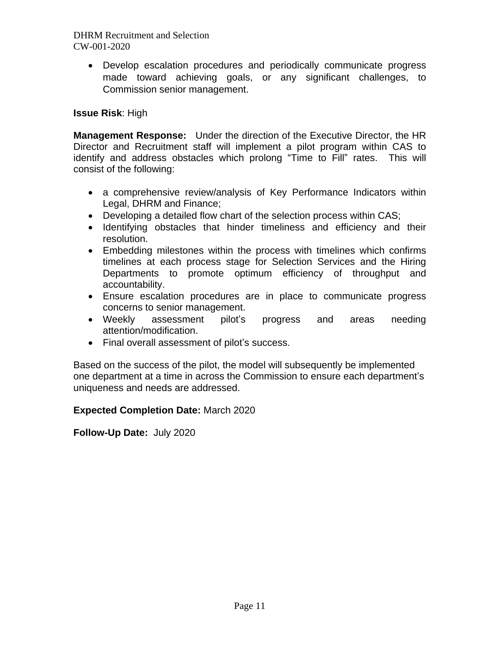> • Develop escalation procedures and periodically communicate progress made toward achieving goals, or any significant challenges, to Commission senior management.

# **Issue Risk**: High

**Management Response:** Under the direction of the Executive Director, the HR Director and Recruitment staff will implement a pilot program within CAS to identify and address obstacles which prolong "Time to Fill" rates. This will consist of the following:

- a comprehensive review/analysis of Key Performance Indicators within Legal, DHRM and Finance;
- Developing a detailed flow chart of the selection process within CAS;
- Identifying obstacles that hinder timeliness and efficiency and their resolution.
- Embedding milestones within the process with timelines which confirms timelines at each process stage for Selection Services and the Hiring Departments to promote optimum efficiency of throughput and accountability.
- Ensure escalation procedures are in place to communicate progress concerns to senior management.
- Weekly assessment pilot's progress and areas needing attention/modification.
- Final overall assessment of pilot's success.

Based on the success of the pilot, the model will subsequently be implemented one department at a time in across the Commission to ensure each department's uniqueness and needs are addressed.

# **Expected Completion Date:** March 2020

**Follow-Up Date:** July 2020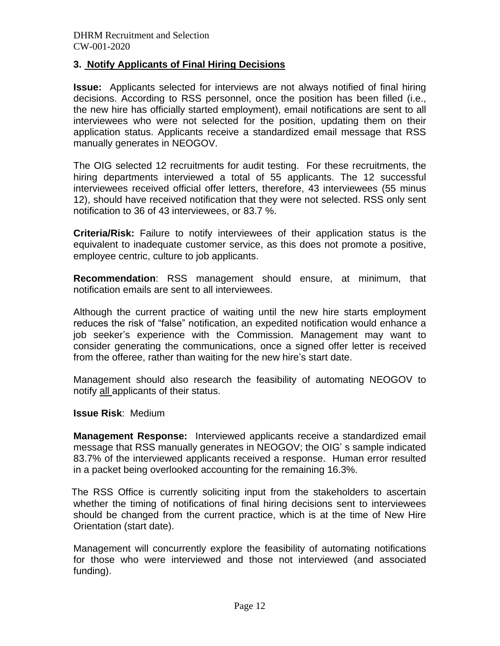# **3. Notify Applicants of Final Hiring Decisions**

**Issue:** Applicants selected for interviews are not always notified of final hiring decisions. According to RSS personnel, once the position has been filled (i.e., the new hire has officially started employment), email notifications are sent to all interviewees who were not selected for the position, updating them on their application status. Applicants receive a standardized email message that RSS manually generates in NEOGOV.

The OIG selected 12 recruitments for audit testing. For these recruitments, the hiring departments interviewed a total of 55 applicants. The 12 successful interviewees received official offer letters, therefore, 43 interviewees (55 minus 12), should have received notification that they were not selected. RSS only sent notification to 36 of 43 interviewees, or 83.7 %.

**Criteria/Risk:** Failure to notify interviewees of their application status is the equivalent to inadequate customer service, as this does not promote a positive, employee centric, culture to job applicants.

**Recommendation**: RSS management should ensure, at minimum, that notification emails are sent to all interviewees.

Although the current practice of waiting until the new hire starts employment reduces the risk of "false" notification, an expedited notification would enhance a job seeker's experience with the Commission. Management may want to consider generating the communications, once a signed offer letter is received from the offeree, rather than waiting for the new hire's start date.

Management should also research the feasibility of automating NEOGOV to notify all applicants of their status.

#### **Issue Risk**: Medium

**Management Response:** Interviewed applicants receive a standardized email message that RSS manually generates in NEOGOV; the OIG' s sample indicated 83.7% of the interviewed applicants received a response. Human error resulted in a packet being overlooked accounting for the remaining 16.3%.

 The RSS Office is currently soliciting input from the stakeholders to ascertain whether the timing of notifications of final hiring decisions sent to interviewees should be changed from the current practice, which is at the time of New Hire Orientation (start date).

Management will concurrently explore the feasibility of automating notifications for those who were interviewed and those not interviewed (and associated funding).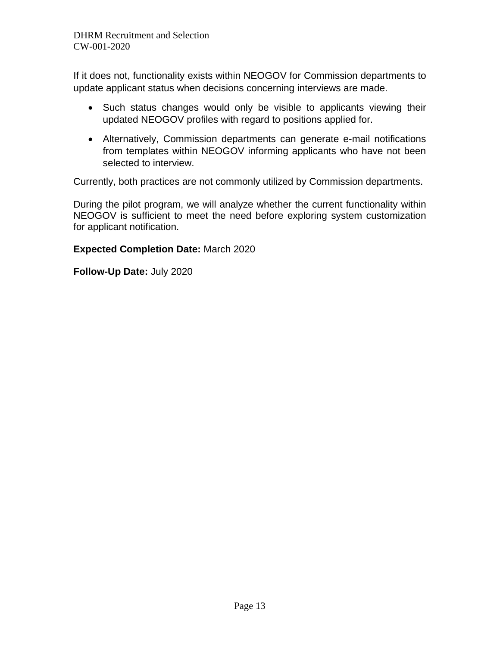If it does not, functionality exists within NEOGOV for Commission departments to update applicant status when decisions concerning interviews are made.

- Such status changes would only be visible to applicants viewing their updated NEOGOV profiles with regard to positions applied for.
- Alternatively, Commission departments can generate e-mail notifications from templates within NEOGOV informing applicants who have not been selected to interview.

Currently, both practices are not commonly utilized by Commission departments.

During the pilot program, we will analyze whether the current functionality within NEOGOV is sufficient to meet the need before exploring system customization for applicant notification.

# **Expected Completion Date:** March 2020

**Follow-Up Date:** July 2020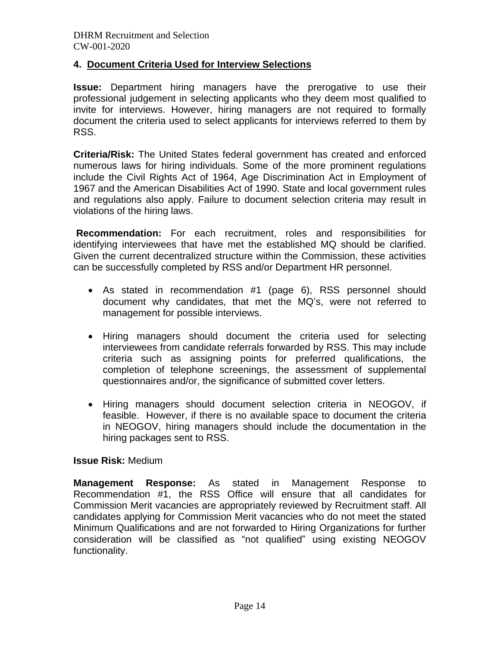# **4. Document Criteria Used for Interview Selections**

**Issue:** Department hiring managers have the prerogative to use their professional judgement in selecting applicants who they deem most qualified to invite for interviews. However, hiring managers are not required to formally document the criteria used to select applicants for interviews referred to them by RSS.

**Criteria/Risk:** The United States federal government has created and enforced numerous laws for hiring individuals. Some of the more prominent regulations include the Civil Rights Act of 1964, Age Discrimination Act in Employment of 1967 and the American Disabilities Act of 1990. State and local government rules and regulations also apply. Failure to document selection criteria may result in violations of the hiring laws.

**Recommendation:** For each recruitment, roles and responsibilities for identifying interviewees that have met the established MQ should be clarified. Given the current decentralized structure within the Commission, these activities can be successfully completed by RSS and/or Department HR personnel.

- As stated in recommendation #1 (page 6), RSS personnel should document why candidates, that met the MQ's, were not referred to management for possible interviews.
- Hiring managers should document the criteria used for selecting interviewees from candidate referrals forwarded by RSS. This may include criteria such as assigning points for preferred qualifications, the completion of telephone screenings, the assessment of supplemental questionnaires and/or, the significance of submitted cover letters.
- Hiring managers should document selection criteria in NEOGOV, if feasible. However, if there is no available space to document the criteria in NEOGOV, hiring managers should include the documentation in the hiring packages sent to RSS.

## **Issue Risk:** Medium

**Management Response:** As stated in Management Response to Recommendation #1, the RSS Office will ensure that all candidates for Commission Merit vacancies are appropriately reviewed by Recruitment staff. All candidates applying for Commission Merit vacancies who do not meet the stated Minimum Qualifications and are not forwarded to Hiring Organizations for further consideration will be classified as "not qualified" using existing NEOGOV functionality.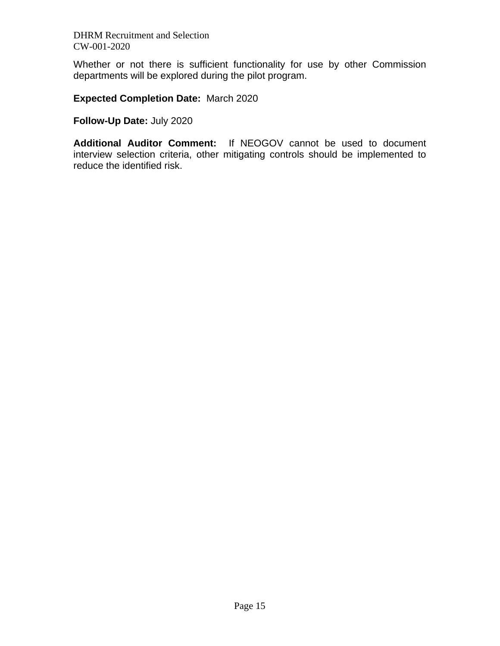Whether or not there is sufficient functionality for use by other Commission departments will be explored during the pilot program.

**Expected Completion Date:** March 2020

**Follow-Up Date:** July 2020

**Additional Auditor Comment:** If NEOGOV cannot be used to document interview selection criteria, other mitigating controls should be implemented to reduce the identified risk.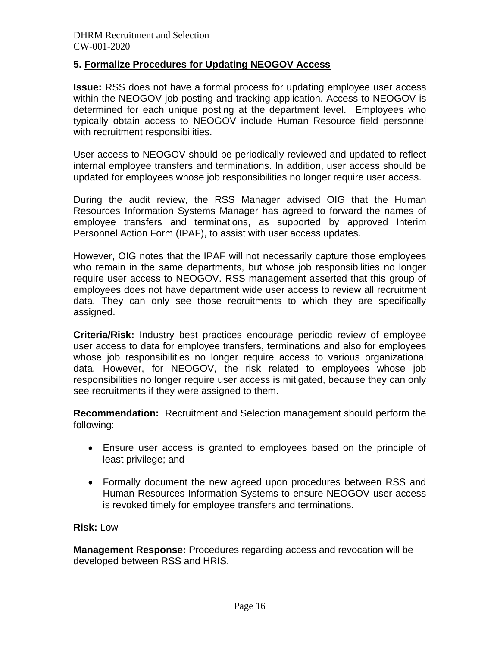# **5. Formalize Procedures for Updating NEOGOV Access**

**Issue:** RSS does not have a formal process for updating employee user access within the NEOGOV job posting and tracking application. Access to NEOGOV is determined for each unique posting at the department level. Employees who typically obtain access to NEOGOV include Human Resource field personnel with recruitment responsibilities.

User access to NEOGOV should be periodically reviewed and updated to reflect internal employee transfers and terminations. In addition, user access should be updated for employees whose job responsibilities no longer require user access.

During the audit review, the RSS Manager advised OIG that the Human Resources Information Systems Manager has agreed to forward the names of employee transfers and terminations, as supported by approved Interim Personnel Action Form (IPAF), to assist with user access updates.

However, OIG notes that the IPAF will not necessarily capture those employees who remain in the same departments, but whose job responsibilities no longer require user access to NEOGOV. RSS management asserted that this group of employees does not have department wide user access to review all recruitment data. They can only see those recruitments to which they are specifically assigned.

**Criteria/Risk:** Industry best practices encourage periodic review of employee user access to data for employee transfers, terminations and also for employees whose job responsibilities no longer require access to various organizational data. However, for NEOGOV, the risk related to employees whose job responsibilities no longer require user access is mitigated, because they can only see recruitments if they were assigned to them.

**Recommendation:** Recruitment and Selection management should perform the following:

- Ensure user access is granted to employees based on the principle of least privilege; and
- Formally document the new agreed upon procedures between RSS and Human Resources Information Systems to ensure NEOGOV user access is revoked timely for employee transfers and terminations.

## **Risk:** Low

**Management Response:** Procedures regarding access and revocation will be developed between RSS and HRIS.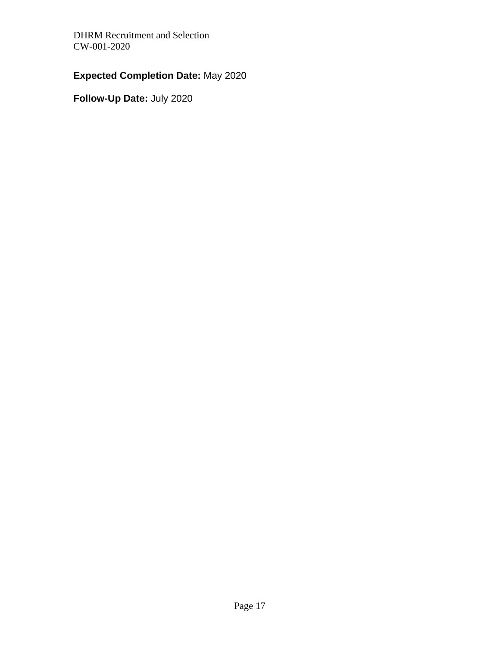# **Expected Completion Date:** May 2020

**Follow-Up Date:** July 2020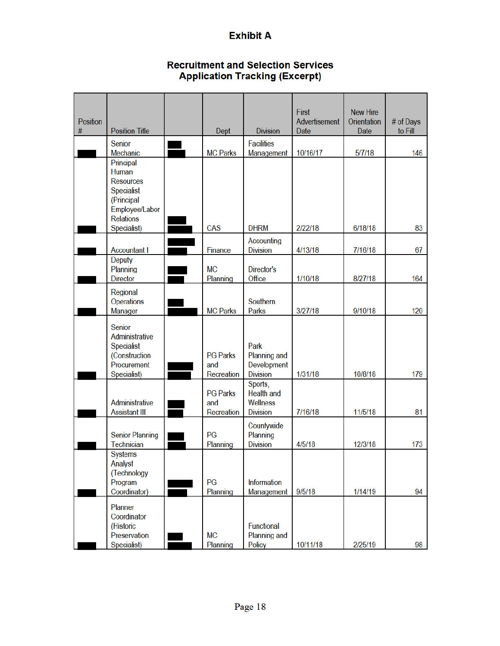# **Exhibit A**

# **Recruitment and Selection Services Application Tracking (Excerpt)**

| <b>Position</b><br># | <b>Position Title</b>                                                                                                  | Dept                                 | <b>Division</b>                                                    | First<br><b>Advertisement</b><br>Date | <b>New Hire</b><br>Orientation<br><b>Date</b> | # of Days<br>to Fill |
|----------------------|------------------------------------------------------------------------------------------------------------------------|--------------------------------------|--------------------------------------------------------------------|---------------------------------------|-----------------------------------------------|----------------------|
|                      | Senior<br>Mechanic                                                                                                     | <b>MC Parks</b>                      | <b>Facilities</b>                                                  | 10/16/17                              | 5/7/18                                        | 146                  |
|                      | Principal<br><b>Human</b><br><b>Resources</b><br><b>Specialist</b><br>(Principal<br>Employee/Labor<br><b>Relations</b> |                                      | Management                                                         |                                       |                                               |                      |
|                      | Specialist)                                                                                                            | CAS                                  | <b>DHRM</b>                                                        | 2/22/18                               | 6/18/18                                       | 83                   |
|                      | <b>Accountant I</b>                                                                                                    | Finance                              | <b>Accounting</b><br><b>Division</b>                               | 4/13/18                               | 7/16/18                                       | 67                   |
|                      | <b>Deputy</b><br>Planning<br><b>Director</b>                                                                           | <b>MC</b><br>Planning                | Director's<br>Office                                               | 1/10/18                               | 8/27/18                                       | 164                  |
|                      | Regional<br><b>Operations</b><br><b>Manager</b>                                                                        | <b>MC Parks</b>                      | <b>Southern</b><br><b>Parks</b>                                    | 3/27/18                               | 9/10/18                                       | 120                  |
|                      | <b>Senior</b><br>Administrative<br><b>Specialist</b><br>(Construction<br>Procurement<br>Specialist)                    | <b>PG Parks</b><br>and<br>Recreation | Park<br>Planning and<br>Development<br><b>Division</b>             | 1/31/18                               | 10/8/18                                       | 179                  |
|                      | <b>Administrative</b><br><b>Assistant III</b>                                                                          | <b>PG Parks</b><br>and<br>Recreation | Sports,<br><b>Health and</b><br><b>Wellness</b><br><b>Division</b> | 7/16/18                               | 11/5/18                                       | 81                   |
|                      | <b>Senior Planning</b><br><b>Technician</b>                                                                            | PG<br>Planning                       | Countywide<br>Planning<br><b>Division</b>                          | 4/5/18                                | 12/3/18                                       | 173                  |
|                      | <b>Systems</b><br>Analyst<br>(Technology<br>Program<br>Coordinator)                                                    | PG<br>Planning                       | <b>Information</b><br>Management                                   | 9/5/18                                | 1/14/19                                       | 94                   |
|                      | <b>Planner</b><br>Coordinator<br>(Historic<br>Preservation<br>Specialist)                                              | <b>MC</b><br>Planning                | <b>Functional</b><br>Planning and<br><b>Policy</b>                 | 10/11/18                              | 2/25/19                                       | 98                   |